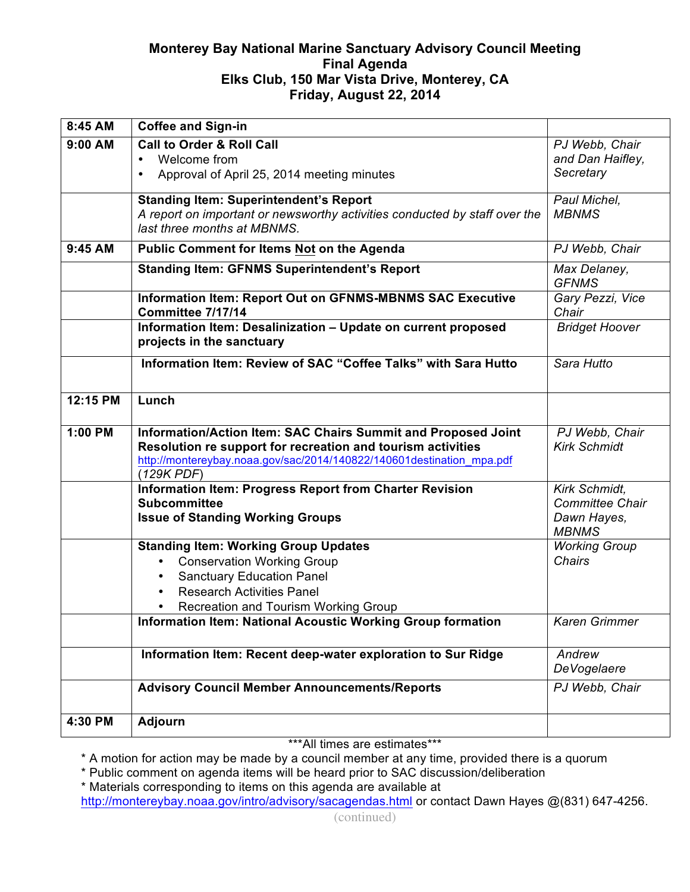# **Monterey Bay National Marine Sanctuary Advisory Council Meeting Final Agenda Elks Club, 150 Mar Vista Drive, Monterey, CA Friday, August 22, 2014**

| 8:45 AM  | <b>Coffee and Sign-in</b>                                                                                                                                                                                                  |                                                                        |
|----------|----------------------------------------------------------------------------------------------------------------------------------------------------------------------------------------------------------------------------|------------------------------------------------------------------------|
| 9:00 AM  | <b>Call to Order &amp; Roll Call</b><br>Welcome from<br>Approval of April 25, 2014 meeting minutes<br>$\bullet$                                                                                                            | PJ Webb, Chair<br>and Dan Haifley,<br>Secretary                        |
|          | <b>Standing Item: Superintendent's Report</b><br>A report on important or newsworthy activities conducted by staff over the<br>last three months at MBNMS.                                                                 | Paul Michel,<br><b>MBNMS</b>                                           |
| 9:45 AM  | Public Comment for Items Not on the Agenda                                                                                                                                                                                 | PJ Webb, Chair                                                         |
|          | <b>Standing Item: GFNMS Superintendent's Report</b>                                                                                                                                                                        | Max Delaney,<br><b>GFNMS</b>                                           |
|          | Information Item: Report Out on GFNMS-MBNMS SAC Executive<br>Committee 7/17/14                                                                                                                                             | Gary Pezzi, Vice<br>Chair                                              |
|          | Information Item: Desalinization - Update on current proposed<br>projects in the sanctuary                                                                                                                                 | <b>Bridget Hoover</b>                                                  |
|          | Information Item: Review of SAC "Coffee Talks" with Sara Hutto                                                                                                                                                             | Sara Hutto                                                             |
| 12:15 PM | Lunch                                                                                                                                                                                                                      |                                                                        |
| 1:00 PM  | Information/Action Item: SAC Chairs Summit and Proposed Joint<br>Resolution re support for recreation and tourism activities<br>http://montereybay.noaa.gov/sac/2014/140822/140601destination mpa.pdf<br>(129K PDF)        | PJ Webb, Chair<br><b>Kirk Schmidt</b>                                  |
|          | Information Item: Progress Report from Charter Revision<br><b>Subcommittee</b><br><b>Issue of Standing Working Groups</b>                                                                                                  | Kirk Schmidt,<br><b>Committee Chair</b><br>Dawn Hayes,<br><b>MBNMS</b> |
|          | <b>Standing Item: Working Group Updates</b><br><b>Conservation Working Group</b><br>$\bullet$<br><b>Sanctuary Education Panel</b><br>$\bullet$<br><b>Research Activities Panel</b><br>Recreation and Tourism Working Group | <b>Working Group</b><br><b>Chairs</b>                                  |
|          | <b>Information Item: National Acoustic Working Group formation</b>                                                                                                                                                         | <b>Karen Grimmer</b>                                                   |
|          | Information Item: Recent deep-water exploration to Sur Ridge                                                                                                                                                               | Andrew<br><b>DeVogelaere</b>                                           |
|          | <b>Advisory Council Member Announcements/Reports</b>                                                                                                                                                                       | PJ Webb, Chair                                                         |
| 4:30 PM  | <b>Adjourn</b>                                                                                                                                                                                                             |                                                                        |

\*\*\*All times are estimates\*\*\*

\* A motion for action may be made by a council member at any time, provided there is a quorum

\* Public comment on agenda items will be heard prior to SAC discussion/deliberation

\* Materials corresponding to items on this agenda are available at

http://montereybay.noaa.gov/intro/advisory/sacagendas.html or contact Dawn Hayes @(831) 647-4256.